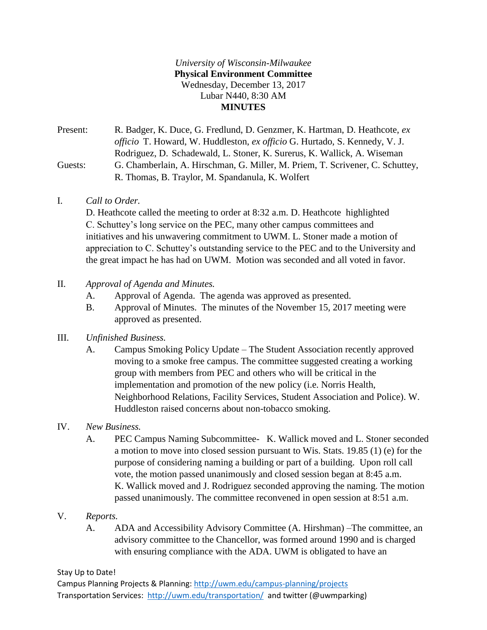## *University of Wisconsin-Milwaukee* **Physical Environment Committee** Wednesday, December 13, 2017 Lubar N440, 8:30 AM **MINUTES**

Present: R. Badger, K. Duce, G. Fredlund, D. Genzmer, K. Hartman, D. Heathcote, *ex officio* T. Howard, W. Huddleston, *ex officio* G. Hurtado, S. Kennedy, V. J. Rodriguez, D. Schadewald, L. Stoner, K. Surerus, K. Wallick, A. Wiseman Guests: G. Chamberlain, A. Hirschman, G. Miller, M. Priem, T. Scrivener, C. Schuttey, R. Thomas, B. Traylor, M. Spandanula, K. Wolfert

I. *Call to Order.*

D. Heathcote called the meeting to order at 8:32 a.m. D. Heathcote highlighted C. Schuttey's long service on the PEC, many other campus committees and initiatives and his unwavering commitment to UWM. L. Stoner made a motion of appreciation to C. Schuttey's outstanding service to the PEC and to the University and the great impact he has had on UWM. Motion was seconded and all voted in favor.

- II. *Approval of Agenda and Minutes.*
	- A. Approval of Agenda. The agenda was approved as presented.
	- B. Approval of Minutes. The minutes of the November 15, 2017 meeting were approved as presented.
- III. *Unfinished Business.*
	- A. Campus Smoking Policy Update The Student Association recently approved moving to a smoke free campus. The committee suggested creating a working group with members from PEC and others who will be critical in the implementation and promotion of the new policy (i.e. Norris Health, Neighborhood Relations, Facility Services, Student Association and Police). W. Huddleston raised concerns about non-tobacco smoking.
- IV. *New Business.*
	- A. PEC Campus Naming Subcommittee- K. Wallick moved and L. Stoner seconded a motion to move into closed session pursuant to Wis. Stats. 19.85 (1) (e) for the purpose of considering naming a building or part of a building. Upon roll call vote, the motion passed unanimously and closed session began at 8:45 a.m. K. Wallick moved and J. Rodriguez seconded approving the naming. The motion passed unanimously. The committee reconvened in open session at 8:51 a.m.
- V. *Reports.*
	- A. ADA and Accessibility Advisory Committee (A. Hirshman) –The committee, an advisory committee to the Chancellor, was formed around 1990 and is charged with ensuring compliance with the ADA. UWM is obligated to have an

Stay Up to Date!